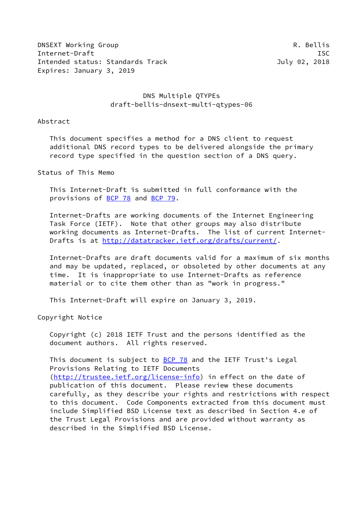DNSEXT Working Group **R. Bellis** Internet-Draft ISC Intended status: Standards Track July 02, 2018 Expires: January 3, 2019

# DNS Multiple QTYPEs draft-bellis-dnsext-multi-qtypes-06

Abstract

 This document specifies a method for a DNS client to request additional DNS record types to be delivered alongside the primary record type specified in the question section of a DNS query.

Status of This Memo

 This Internet-Draft is submitted in full conformance with the provisions of [BCP 78](https://datatracker.ietf.org/doc/pdf/bcp78) and [BCP 79](https://datatracker.ietf.org/doc/pdf/bcp79).

 Internet-Drafts are working documents of the Internet Engineering Task Force (IETF). Note that other groups may also distribute working documents as Internet-Drafts. The list of current Internet Drafts is at<http://datatracker.ietf.org/drafts/current/>.

 Internet-Drafts are draft documents valid for a maximum of six months and may be updated, replaced, or obsoleted by other documents at any time. It is inappropriate to use Internet-Drafts as reference material or to cite them other than as "work in progress."

This Internet-Draft will expire on January 3, 2019.

Copyright Notice

 Copyright (c) 2018 IETF Trust and the persons identified as the document authors. All rights reserved.

This document is subject to **[BCP 78](https://datatracker.ietf.org/doc/pdf/bcp78)** and the IETF Trust's Legal Provisions Relating to IETF Documents [\(http://trustee.ietf.org/license-info](http://trustee.ietf.org/license-info)) in effect on the date of publication of this document. Please review these documents carefully, as they describe your rights and restrictions with respect to this document. Code Components extracted from this document must include Simplified BSD License text as described in Section 4.e of the Trust Legal Provisions and are provided without warranty as described in the Simplified BSD License.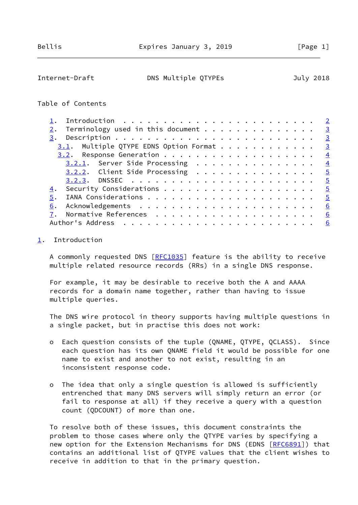<span id="page-1-1"></span>Internet-Draft DNS Multiple QTYPEs July 2018

#### Table of Contents

|    |                                                    | $\overline{2}$          |
|----|----------------------------------------------------|-------------------------|
| 2. | Terminology used in this document<br>$\frac{3}{2}$ |                         |
|    |                                                    | $\overline{\mathbf{3}}$ |
|    | $3.1$ . Multiple QTYPE EDNS Option Format          | $\overline{3}$          |
|    |                                                    | $\frac{4}{3}$           |
|    | 3.2.1. Server Side Processing                      | $\frac{4}{3}$           |
|    | $\overline{5}$                                     |                         |
|    |                                                    | $\overline{5}$          |
| 4. | $\frac{5}{2}$                                      |                         |
| 5. |                                                    | $\overline{5}$          |
| 6. | 6                                                  |                         |
|    | 6                                                  |                         |
|    | 6                                                  |                         |

#### <span id="page-1-0"></span>[1](#page-1-0). Introduction

A commonly requested DNS [\[RFC1035](https://datatracker.ietf.org/doc/pdf/rfc1035)] feature is the ability to receive multiple related resource records (RRs) in a single DNS response.

 For example, it may be desirable to receive both the A and AAAA records for a domain name together, rather than having to issue multiple queries.

 The DNS wire protocol in theory supports having multiple questions in a single packet, but in practise this does not work:

- o Each question consists of the tuple (QNAME, QTYPE, QCLASS). Since each question has its own QNAME field it would be possible for one name to exist and another to not exist, resulting in an inconsistent response code.
- o The idea that only a single question is allowed is sufficiently entrenched that many DNS servers will simply return an error (or fail to response at all) if they receive a query with a question count (QDCOUNT) of more than one.

 To resolve both of these issues, this document constraints the problem to those cases where only the QTYPE varies by specifying a new option for the Extension Mechanisms for DNS (EDNS [[RFC6891](https://datatracker.ietf.org/doc/pdf/rfc6891)]) that contains an additional list of QTYPE values that the client wishes to receive in addition to that in the primary question.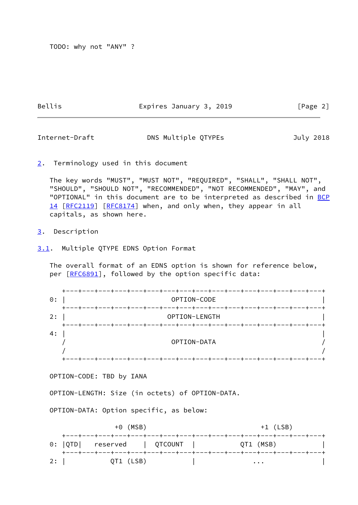TODO: why not "ANY" ?

Bellis **Expires January 3, 2019** [Page 2]

<span id="page-2-1"></span>Internet-Draft DNS Multiple QTYPEs July 2018

<span id="page-2-0"></span>[2](#page-2-0). Terminology used in this document

 The key words "MUST", "MUST NOT", "REQUIRED", "SHALL", "SHALL NOT", "SHOULD", "SHOULD NOT", "RECOMMENDED", "NOT RECOMMENDED", "MAY", and "OPTIONAL" in this document are to be interpreted as described in [BCP](https://datatracker.ietf.org/doc/pdf/bcp14) [14](https://datatracker.ietf.org/doc/pdf/bcp14) [[RFC2119\]](https://datatracker.ietf.org/doc/pdf/rfc2119) [\[RFC8174](https://datatracker.ietf.org/doc/pdf/rfc8174)] when, and only when, they appear in all capitals, as shown here.

### <span id="page-2-2"></span>[3](#page-2-2). Description

<span id="page-2-3"></span>[3.1](#page-2-3). Multiple QTYPE EDNS Option Format

 The overall format of an EDNS option is shown for reference below, per [\[RFC6891](https://datatracker.ietf.org/doc/pdf/rfc6891)], followed by the option specific data:

| 0:  | +---+---+---+---+---+---+---+---+---+---+---+---+---+---+---+---+---<br>OPTION-CODE |  |
|-----|-------------------------------------------------------------------------------------|--|
| 2:  | +---+---+---+---+---+---+---+---+---+---+---+---+---+---+---+---+<br>OPTION-LENGTH  |  |
| 4 : | +----+---+---+---+---+---+---+---+---+---+---+---+---+---+---+---+-<br>OPTION-DATA  |  |
|     | ---+---+---+---+---+---+---+---+---+---+---+                                        |  |

OPTION-CODE: TBD by IANA

OPTION-LENGTH: Size (in octets) of OPTION-DATA.

OPTION-DATA: Option specific, as below:

| $+0$ (MSB) |     |                                                                                                     |  | $+1$ (LSB) |           |  |
|------------|-----|-----------------------------------------------------------------------------------------------------|--|------------|-----------|--|
|            |     | +---+---+---+---+---+---+---+---+---+---+---+---+---+---+---+---+---<br>0:  QTD  reserved   QTCOUNT |  |            | QT1 (MSB) |  |
|            | 2:1 | +---+---+---+---+---+---+---+---+---+---+---+---+---+---+---+---+---+<br>QT1 (LSB)                  |  |            | $\cdots$  |  |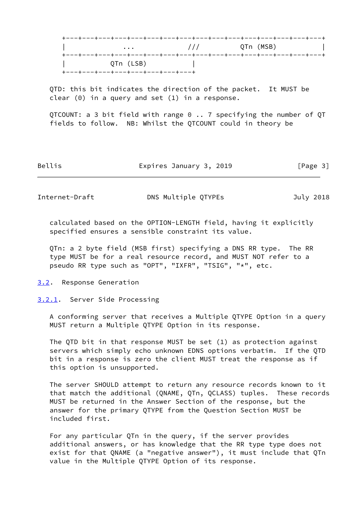

 QTD: this bit indicates the direction of the packet. It MUST be clear (0) in a query and set (1) in a response.

QTCOUNT: a 3 bit field with range  $0 \ldots 7$  specifying the number of QT fields to follow. NB: Whilst the QTCOUNT could in theory be

Bellis **Expires January 3, 2019** [Page 3]

<span id="page-3-1"></span>Internet-Draft **DNS Multiple QTYPEs** July 2018

 calculated based on the OPTION-LENGTH field, having it explicitly specified ensures a sensible constraint its value.

 QTn: a 2 byte field (MSB first) specifying a DNS RR type. The RR type MUST be for a real resource record, and MUST NOT refer to a pseudo RR type such as "OPT", "IXFR", "TSIG", "\*", etc.

- <span id="page-3-0"></span>[3.2](#page-3-0). Response Generation
- <span id="page-3-2"></span>[3.2.1](#page-3-2). Server Side Processing

 A conforming server that receives a Multiple QTYPE Option in a query MUST return a Multiple QTYPE Option in its response.

 The QTD bit in that response MUST be set (1) as protection against servers which simply echo unknown EDNS options verbatim. If the QTD bit in a response is zero the client MUST treat the response as if this option is unsupported.

 The server SHOULD attempt to return any resource records known to it that match the additional (QNAME, QTn, QCLASS) tuples. These records MUST be returned in the Answer Section of the response, but the answer for the primary QTYPE from the Question Section MUST be included first.

 For any particular QTn in the query, if the server provides additional answers, or has knowledge that the RR type type does not exist for that QNAME (a "negative answer"), it must include that QTn value in the Multiple QTYPE Option of its response.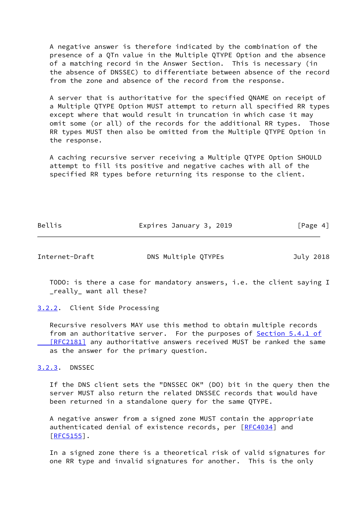A negative answer is therefore indicated by the combination of the presence of a QTn value in the Multiple QTYPE Option and the absence of a matching record in the Answer Section. This is necessary (in the absence of DNSSEC) to differentiate between absence of the record from the zone and absence of the record from the response.

 A server that is authoritative for the specified QNAME on receipt of a Multiple QTYPE Option MUST attempt to return all specified RR types except where that would result in truncation in which case it may omit some (or all) of the records for the additional RR types. Those RR types MUST then also be omitted from the Multiple QTYPE Option in the response.

 A caching recursive server receiving a Multiple QTYPE Option SHOULD attempt to fill its positive and negative caches with all of the specified RR types before returning its response to the client.

Bellis **Expires January 3, 2019** [Page 4]

<span id="page-4-1"></span>Internet-Draft DNS Multiple QTYPEs July 2018

 TODO: is there a case for mandatory answers, i.e. the client saying I \_really\_ want all these?

<span id="page-4-0"></span>[3.2.2](#page-4-0). Client Side Processing

 Recursive resolvers MAY use this method to obtain multiple records from an authoritative server. For the purposes of Section [5.4.1 of](https://datatracker.ietf.org/doc/pdf/rfc2181#section-5.4.1) [RFC2181] any authoritative answers received MUST be ranked the same as the answer for the primary question.

<span id="page-4-2"></span>[3.2.3](#page-4-2). DNSSEC

 If the DNS client sets the "DNSSEC OK" (DO) bit in the query then the server MUST also return the related DNSSEC records that would have been returned in a standalone query for the same QTYPE.

 A negative answer from a signed zone MUST contain the appropriate authenticated denial of existence records, per [\[RFC4034](https://datatracker.ietf.org/doc/pdf/rfc4034)] and  $[REC5155]$ .

 In a signed zone there is a theoretical risk of valid signatures for one RR type and invalid signatures for another. This is the only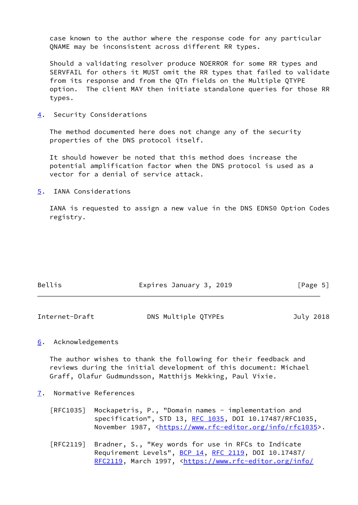case known to the author where the response code for any particular QNAME may be inconsistent across different RR types.

 Should a validating resolver produce NOERROR for some RR types and SERVFAIL for others it MUST omit the RR types that failed to validate from its response and from the QTn fields on the Multiple QTYPE option. The client MAY then initiate standalone queries for those RR types.

<span id="page-5-0"></span>[4](#page-5-0). Security Considerations

 The method documented here does not change any of the security properties of the DNS protocol itself.

 It should however be noted that this method does increase the potential amplification factor when the DNS protocol is used as a vector for a denial of service attack.

<span id="page-5-1"></span>[5](#page-5-1). IANA Considerations

 IANA is requested to assign a new value in the DNS EDNS0 Option Codes registry.

| Bellis | Expires January 3, 2019 | [Page 5] |
|--------|-------------------------|----------|
|        |                         |          |

<span id="page-5-3"></span>

| Internet-Draft | DNS Multiple QTYPEs | July 2018 |
|----------------|---------------------|-----------|
|                |                     |           |

## <span id="page-5-2"></span>[6](#page-5-2). Acknowledgements

 The author wishes to thank the following for their feedback and reviews during the initial development of this document: Michael Graff, Olafur Gudmundsson, Matthijs Mekking, Paul Vixie.

- <span id="page-5-4"></span>[7](#page-5-4). Normative References
	- [RFC1035] Mockapetris, P., "Domain names implementation and specification", STD 13, [RFC 1035,](https://datatracker.ietf.org/doc/pdf/rfc1035) DOI 10.17487/RFC1035, November 1987, <<https://www.rfc-editor.org/info/rfc1035>>.
	- [RFC2119] Bradner, S., "Key words for use in RFCs to Indicate Requirement Levels", [BCP 14](https://datatracker.ietf.org/doc/pdf/bcp14), [RFC 2119](https://datatracker.ietf.org/doc/pdf/rfc2119), DOI 10.17487/ [RFC2119](https://datatracker.ietf.org/doc/pdf/rfc2119), March 1997, [<https://www.rfc-editor.org/info/](https://www.rfc-editor.org/info/rfc2119)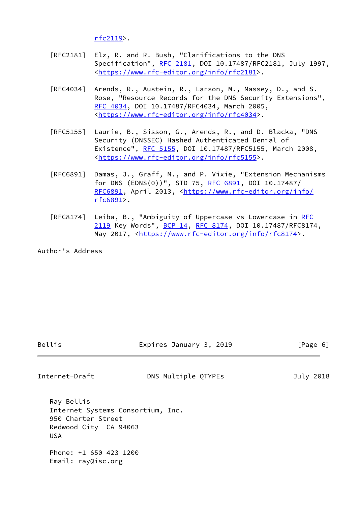[rfc2119](https://www.rfc-editor.org/info/rfc2119)>.

- [RFC2181] Elz, R. and R. Bush, "Clarifications to the DNS Specification", [RFC 2181,](https://datatracker.ietf.org/doc/pdf/rfc2181) DOI 10.17487/RFC2181, July 1997, <[https://www.rfc-editor.org/info/rfc2181>](https://www.rfc-editor.org/info/rfc2181).
- [RFC4034] Arends, R., Austein, R., Larson, M., Massey, D., and S. Rose, "Resource Records for the DNS Security Extensions", [RFC 4034,](https://datatracker.ietf.org/doc/pdf/rfc4034) DOI 10.17487/RFC4034, March 2005, <[https://www.rfc-editor.org/info/rfc4034>](https://www.rfc-editor.org/info/rfc4034).
- [RFC5155] Laurie, B., Sisson, G., Arends, R., and D. Blacka, "DNS Security (DNSSEC) Hashed Authenticated Denial of Existence", [RFC 5155,](https://datatracker.ietf.org/doc/pdf/rfc5155) DOI 10.17487/RFC5155, March 2008, <[https://www.rfc-editor.org/info/rfc5155>](https://www.rfc-editor.org/info/rfc5155).
- [RFC6891] Damas, J., Graff, M., and P. Vixie, "Extension Mechanisms for DNS (EDNS(0))", STD 75, [RFC 6891,](https://datatracker.ietf.org/doc/pdf/rfc6891) DOI 10.17487/ [RFC6891](https://datatracker.ietf.org/doc/pdf/rfc6891), April 2013, [<https://www.rfc-editor.org/info/](https://www.rfc-editor.org/info/rfc6891) [rfc6891](https://www.rfc-editor.org/info/rfc6891)>.
- [RFC8174] Leiba, B., "Ambiguity of Uppercase vs Lowercase in [RFC](https://datatracker.ietf.org/doc/pdf/rfc2119) [2119](https://datatracker.ietf.org/doc/pdf/rfc2119) Key Words", [BCP 14](https://datatracker.ietf.org/doc/pdf/bcp14), [RFC 8174,](https://datatracker.ietf.org/doc/pdf/rfc8174) DOI 10.17487/RFC8174, May 2017, [<https://www.rfc-editor.org/info/rfc8174](https://www.rfc-editor.org/info/rfc8174)>.

Author's Address

Bellis Expires January 3, 2019 [Page 6]

Internet-Draft DNS Multiple QTYPEs July 2018

 Ray Bellis Internet Systems Consortium, Inc. 950 Charter Street Redwood City CA 94063 USA

 Phone: +1 650 423 1200 Email: ray@isc.org